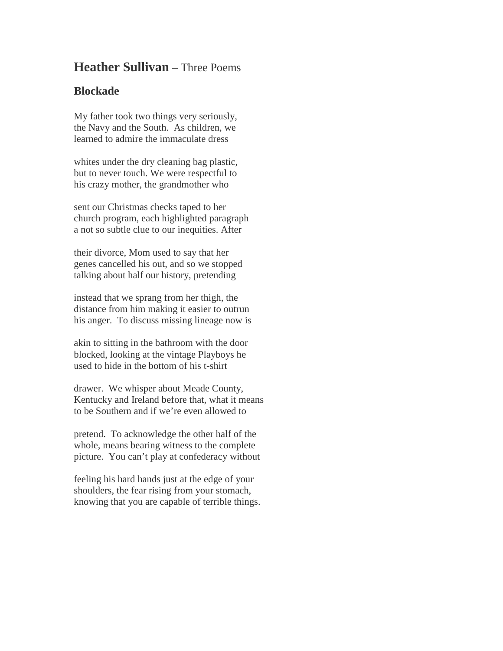## **Heather Sullivan** – Three Poems

## **Blockade**

My father took two things very seriously, the Navy and the South. As children, we learned to admire the immaculate dress

whites under the dry cleaning bag plastic, but to never touch. We were respectful to his crazy mother, the grandmother who

sent our Christmas checks taped to her church program, each highlighted paragraph a not so subtle clue to our inequities. After

their divorce, Mom used to say that her genes cancelled his out, and so we stopped talking about half our history, pretending

instead that we sprang from her thigh, the distance from him making it easier to outrun his anger. To discuss missing lineage now is

akin to sitting in the bathroom with the door blocked, looking at the vintage Playboys he used to hide in the bottom of his t-shirt

drawer. We whisper about Meade County, Kentucky and Ireland before that, what it means to be Southern and if we're even allowed to

pretend. To acknowledge the other half of the whole, means bearing witness to the complete picture. You can't play at confederacy without

feeling his hard hands just at the edge of your shoulders, the fear rising from your stomach, knowing that you are capable of terrible things.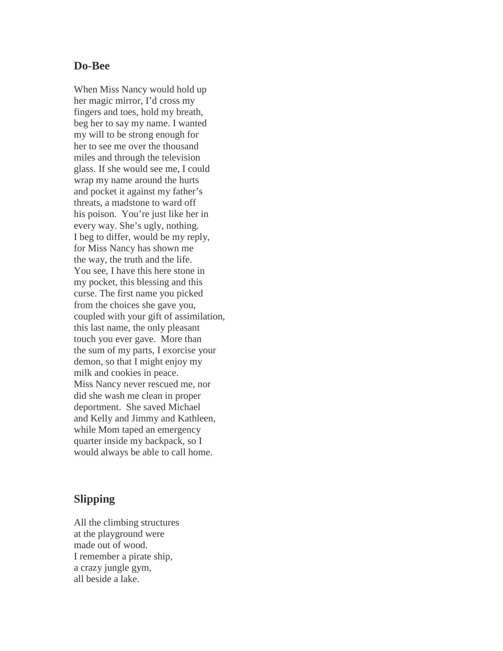## **Do-Bee**

When Miss Nancy would hold up her magic mirror, I'd cross my fingers and toes, hold my breath, beg her to say my name. I wanted my will to be strong enough for her to see me over the thousand miles and through the television glass. If she would see me, I could wrap my name around the hurts and pocket it against my father's threats, a madstone to ward off his poison. You're just like her in every way. She's ugly, nothing. I beg to differ, would be my reply, for Miss Nancy has shown me the way, the truth and the life. You see, I have this here stone in my pocket, this blessing and this curse. The first name you picked from the choices she gave you, coupled with your gift of assimilation, this last name, the only pleasant touch you ever gave. More than the sum of my parts, I exorcise your demon, so that I might enjoy my milk and cookies in peace. Miss Nancy never rescued me, nor did she wash me clean in proper deportment. She saved Michael and Kelly and Jimmy and Kathleen, while Mom taped an emergency quarter inside my backpack, so I would always be able to call home.

## **Slipping**

All the climbing structures at the playground were made out of wood. I remember a pirate ship, a crazy jungle gym, all beside a lake.